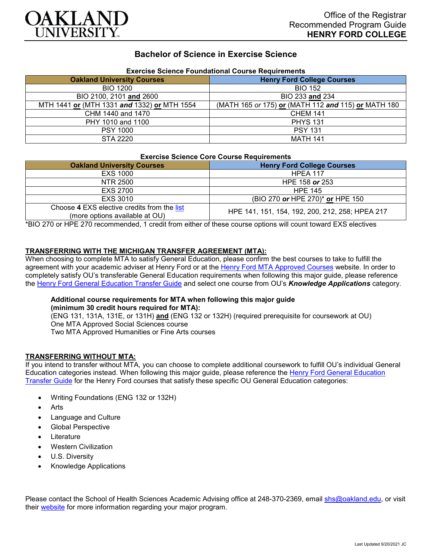

# **Bachelor of Science in Exercise Science**

| Exercise Science Foundational Course Requirements |                                                     |
|---------------------------------------------------|-----------------------------------------------------|
| <b>Oakland University Courses</b>                 | <b>Henry Ford College Courses</b>                   |
| <b>BIO 1200</b>                                   | <b>BIO 152</b>                                      |
| BIO 2100, 2101 and 2600                           | BIO 233 and 234                                     |
| MTH 1441 or (MTH 1331 and 1332) or MTH 1554       | (MATH 165 or 175) or (MATH 112 and 115) or MATH 180 |
| CHM 1440 and 1470                                 | <b>CHEM 141</b>                                     |
| PHY 1010 and 1100                                 | <b>PHYS 131</b>                                     |
| <b>PSY 1000</b>                                   | <b>PSY 131</b>                                      |
| <b>STA 2220</b>                                   | <b>MATH 141</b>                                     |

## **Exercise Science Foundational Course Requirements**

#### **Exercise Science Core Course Requirements**

| <b>Oakland University Courses</b>                                             | <b>Henry Ford College Courses</b>               |
|-------------------------------------------------------------------------------|-------------------------------------------------|
| <b>EXS 1000</b>                                                               | <b>HPEA 117</b>                                 |
| NTR 2500                                                                      | HPE 158 or 253                                  |
| EXS 2700                                                                      | <b>HPE 145</b>                                  |
| EXS 3010                                                                      | (BIO 270 or HPE 270)* or HPE 150                |
| Choose 4 EXS elective credits from the list<br>(more options available at OU) | HPE 141, 151, 154, 192, 200, 212, 258; HPEA 217 |

\*BIO 270 or HPE 270 recommended, 1 credit from either of these course options will count toward EXS electives

### **TRANSFERRING WITH THE MICHIGAN TRANSFER AGREEMENT (MTA):**

When choosing to complete MTA to satisfy General Education, please confirm the best courses to take to fulfill the agreement with your academic adviser at Henry Ford or at the [Henry Ford MTA Approved Courses](https://www.hfcc.edu/registration-and-records/mta/hfc-agreement) website. In order to completely satisfy OU's transferable General Education requirements when following this major guide, please reference the [Henry Ford General Education Transfer Guide](https://www.oakland.edu/Assets/Oakland/program-guides/henry-ford-college/university-general-education-requirements/Henry%20Ford%20Gen%20Ed.pdf) and select one course from OU's *Knowledge Applications* category.

### **Additional course requirements for MTA when following this major guide**

**(minimum 30 credit hours required for MTA):**

(ENG 131, 131A, 131E, or 131H) **and** (ENG 132 or 132H) (required prerequisite for coursework at OU) One MTA Approved Social Sciences course Two MTA Approved Humanities or Fine Arts courses

### **TRANSFERRING WITHOUT MTA:**

If you intend to transfer without MTA, you can choose to complete additional coursework to fulfill OU's individual General Education categories instead. When following this major guide, please reference the [Henry Ford General Education](https://www.oakland.edu/Assets/Oakland/program-guides/henry-ford-college/university-general-education-requirements/Henry%20Ford%20Gen%20Ed.pdf)  [Transfer Guide](https://www.oakland.edu/Assets/Oakland/program-guides/henry-ford-college/university-general-education-requirements/Henry%20Ford%20Gen%20Ed.pdf) for the Henry Ford courses that satisfy these specific OU General Education categories:

- Writing Foundations (ENG 132 or 132H)
- **Arts**
- Language and Culture
- Global Perspective
- **Literature**
- Western Civilization
- U.S. Diversity
- Knowledge Applications

Please contact the School of Health Sciences Academic Advising office at 248-370-2369, email [shs@oakland.edu,](mailto:shs@oakland.edu) or visit their [website](http://www.oakland.edu/shs/advising) for more information regarding your major program.